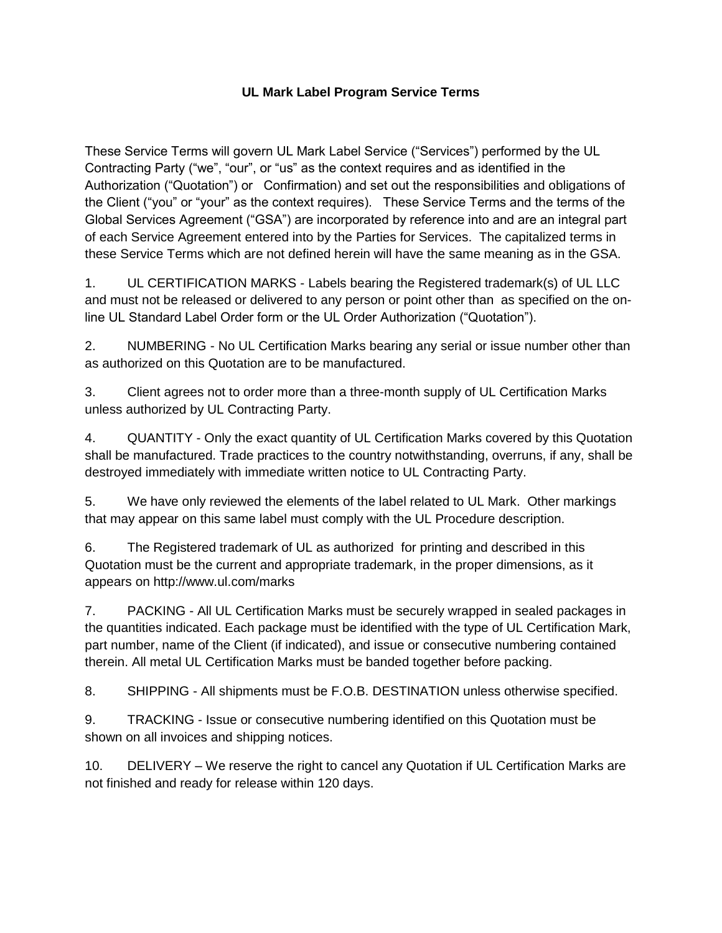## **UL Mark Label Program Service Terms**

These Service Terms will govern UL Mark Label Service ("Services") performed by the UL Contracting Party ("we", "our", or "us" as the context requires and as identified in the Authorization ("Quotation") or Confirmation) and set out the responsibilities and obligations of the Client ("you" or "your" as the context requires). These Service Terms and the terms of the Global Services Agreement ("GSA") are incorporated by reference into and are an integral part of each Service Agreement entered into by the Parties for Services. The capitalized terms in these Service Terms which are not defined herein will have the same meaning as in the GSA.

1. UL CERTIFICATION MARKS - Labels bearing the Registered trademark(s) of UL LLC and must not be released or delivered to any person or point other than as specified on the online UL Standard Label Order form or the UL Order Authorization ("Quotation").

2. NUMBERING - No UL Certification Marks bearing any serial or issue number other than as authorized on this Quotation are to be manufactured.

3. Client agrees not to order more than a three-month supply of UL Certification Marks unless authorized by UL Contracting Party.

4. QUANTITY - Only the exact quantity of UL Certification Marks covered by this Quotation shall be manufactured. Trade practices to the country notwithstanding, overruns, if any, shall be destroyed immediately with immediate written notice to UL Contracting Party.

5. We have only reviewed the elements of the label related to UL Mark. Other markings that may appear on this same label must comply with the UL Procedure description.

6. The Registered trademark of UL as authorized for printing and described in this Quotation must be the current and appropriate trademark, in the proper dimensions, as it appears on http://www.ul.com/marks

7. PACKING - All UL Certification Marks must be securely wrapped in sealed packages in the quantities indicated. Each package must be identified with the type of UL Certification Mark, part number, name of the Client (if indicated), and issue or consecutive numbering contained therein. All metal UL Certification Marks must be banded together before packing.

8. SHIPPING - All shipments must be F.O.B. DESTINATION unless otherwise specified.

9. TRACKING - Issue or consecutive numbering identified on this Quotation must be shown on all invoices and shipping notices.

10. DELIVERY – We reserve the right to cancel any Quotation if UL Certification Marks are not finished and ready for release within 120 days.